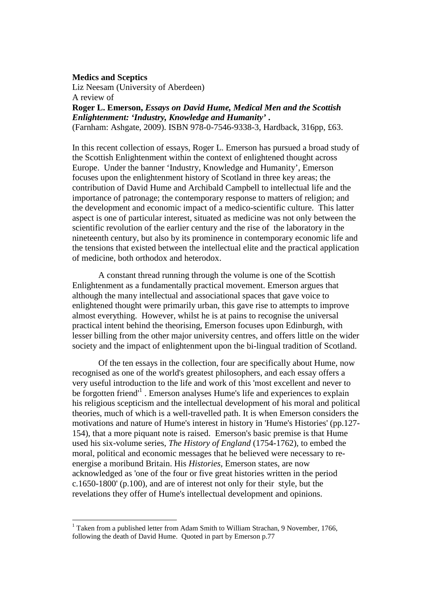## **Medics and Sceptics**

l

Liz Neesam (University of Aberdeen) A review of **Roger L. Emerson,** *Essays on David Hume, Medical Men and the Scottish* 

*Enlightenment: 'Industry, Knowledge and Humanity'* **.**  (Farnham: Ashgate, 2009). ISBN 978-0-7546-9338-3, Hardback, 316pp, £63.

In this recent collection of essays, Roger L. Emerson has pursued a broad study of the Scottish Enlightenment within the context of enlightened thought across Europe. Under the banner 'Industry, Knowledge and Humanity', Emerson focuses upon the enlightenment history of Scotland in three key areas; the contribution of David Hume and Archibald Campbell to intellectual life and the importance of patronage; the contemporary response to matters of religion; and the development and economic impact of a medico-scientific culture. This latter aspect is one of particular interest, situated as medicine was not only between the scientific revolution of the earlier century and the rise of the laboratory in the nineteenth century, but also by its prominence in contemporary economic life and the tensions that existed between the intellectual elite and the practical application of medicine, both orthodox and heterodox.

 A constant thread running through the volume is one of the Scottish Enlightenment as a fundamentally practical movement. Emerson argues that although the many intellectual and associational spaces that gave voice to enlightened thought were primarily urban, this gave rise to attempts to improve almost everything. However, whilst he is at pains to recognise the universal practical intent behind the theorising, Emerson focuses upon Edinburgh, with lesser billing from the other major university centres, and offers little on the wider society and the impact of enlightenment upon the bi-lingual tradition of Scotland.

 Of the ten essays in the collection, four are specifically about Hume, now recognised as one of the world's greatest philosophers, and each essay offers a very useful introduction to the life and work of this 'most excellent and never to be forgotten friend<sup>1</sup>. Emerson analyses Hume's life and experiences to explain his religious scepticism and the intellectual development of his moral and political theories, much of which is a well-travelled path. It is when Emerson considers the motivations and nature of Hume's interest in history in 'Hume's Histories' (pp.127- 154), that a more piquant note is raised. Emerson's basic premise is that Hume used his six-volume series, *The History of England* (1754-1762), to embed the moral, political and economic messages that he believed were necessary to reenergise a moribund Britain. His *Histories,* Emerson states, are now acknowledged as 'one of the four or five great histories written in the period c.1650-1800' (p.100), and are of interest not only for their style, but the revelations they offer of Hume's intellectual development and opinions.

 $1$  Taken from a published letter from Adam Smith to William Strachan, 9 November, 1766, following the death of David Hume. Quoted in part by Emerson p.77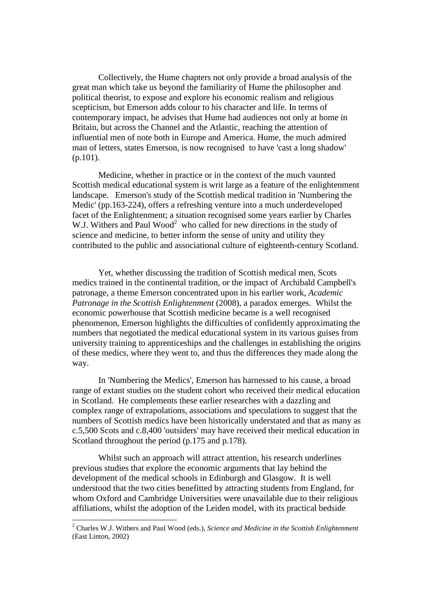Collectively, the Hume chapters not only provide a broad analysis of the great man which take us beyond the familiarity of Hume the philosopher and political theorist, to expose and explore his economic realism and religious scepticism, but Emerson adds colour to his character and life. In terms of contemporary impact, he advises that Hume had audiences not only at home in Britain, but across the Channel and the Atlantic, reaching the attention of influential men of note both in Europe and America. Hume, the much admired man of letters, states Emerson, is now recognised to have 'cast a long shadow' (p.101).

 Medicine, whether in practice or in the context of the much vaunted Scottish medical educational system is writ large as a feature of the enlightenment landscape. Emerson's study of the Scottish medical tradition in 'Numbering the Medic' (pp.163-224), offers a refreshing venture into a much underdeveloped facet of the Enlightenment; a situation recognised some years earlier by Charles W.J. Withers and Paul Wood<sup>2</sup> who called for new directions in the study of science and medicine, to better inform the sense of unity and utility they contributed to the public and associational culture of eighteenth-century Scotland.

 Yet, whether discussing the tradition of Scottish medical men, Scots medics trained in the continental tradition, or the impact of Archibald Campbell's patronage, a theme Emerson concentrated upon in his earlier work, *Academic Patronage in the Scottish Enlightenment* (2008), a paradox emerges. Whilst the economic powerhouse that Scottish medicine became is a well recognised phenomenon, Emerson highlights the difficulties of confidently approximating the numbers that negotiated the medical educational system in its various guises from university training to apprenticeships and the challenges in establishing the origins of these medics, where they went to, and thus the differences they made along the way.

 In 'Numbering the Medics', Emerson has harnessed to his cause, a broad range of extant studies on the student cohort who received their medical education in Scotland. He complements these earlier researches with a dazzling and complex range of extrapolations, associations and speculations to suggest that the numbers of Scottish medics have been historically understated and that as many as c.5,500 Scots and c.8,400 'outsiders' may have received their medical education in Scotland throughout the period (p.175 and p.178).

 Whilst such an approach will attract attention, his research underlines previous studies that explore the economic arguments that lay behind the development of the medical schools in Edinburgh and Glasgow. It is well understood that the two cities benefitted by attracting students from England, for whom Oxford and Cambridge Universities were unavailable due to their religious affiliations, whilst the adoption of the Leiden model, with its practical bedside

l

<sup>2</sup> Charles W.J. Withers and Paul Wood (eds.), *Science and Medicine in the Scottish Enlightenment*  (East Linton, 2002)